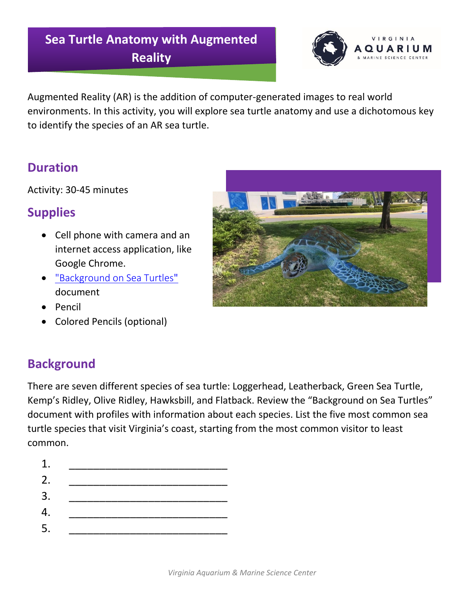### **Sea Turtle Anatomy with Augmented Reality**



Augmented Reality (AR) is the addition of computer-generated images to real world environments. In this activity, you will explore sea turtle anatomy and use a dichotomous key to identify the species of an AR sea turtle.

#### **Duration**

Activity: 30-45 minutes

#### **Supplies**

- Cell phone with camera and an internet access application, like Google Chrome.
- ["Background on Sea Turtles](https://www.virginiaaquarium.com/visit/Documents/Background%20on%20Sea%20Turtles%20%28green%20and%20purple%20theme%29.pdf)" document
- Pencil
- Colored Pencils (optional)

## **Background**

There are seven different species of sea turtle: Loggerhead, Leatherback, Green Sea Turtle, Kemp's Ridley, Olive Ridley, Hawksbill, and Flatback. Review the "Background on Sea Turtles" document with profiles with information about each species. List the five most common sea turtle species that visit Virginia's coast, starting from the most common visitor to least common.

- 1. \_\_\_\_\_\_\_\_\_\_\_\_\_\_\_\_\_\_\_\_\_\_\_\_\_\_
- 2. \_\_\_\_\_\_\_\_\_\_\_\_\_\_\_\_\_\_\_\_\_\_\_\_\_\_
- 3. \_\_\_\_\_\_\_\_\_\_\_\_\_\_\_\_\_\_\_\_\_\_\_\_\_\_
- 4. \_\_\_\_\_\_\_\_\_\_\_\_\_\_\_\_\_\_\_\_\_\_\_\_\_\_
- 5. \_\_\_\_\_\_\_\_\_\_\_\_\_\_\_\_\_\_\_\_\_\_\_\_\_\_

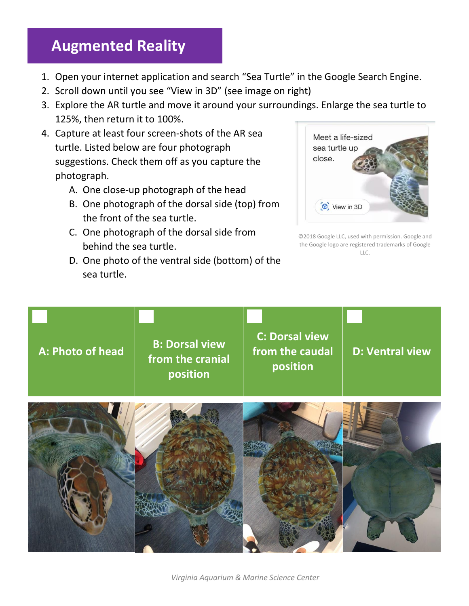## **Augmented Reality**

- 1. Open your internet application and search "Sea Turtle" in the Google Search Engine.
- 2. Scroll down until you see "View in 3D" (see image on right)
- 3. Explore the AR turtle and move it around your surroundings. Enlarge the sea turtle to 125%, then return it to 100%.
- 4. Capture at least four screen-shots of the AR sea turtle. Listed below are four photograph suggestions. Check them off as you capture the photograph.
	- A. One close-up photograph of the head
	- B. One photograph of the dorsal side (top) from the front of the sea turtle.
	- C. One photograph of the dorsal side from behind the sea turtle.
	- D. One photo of the ventral side (bottom) of the sea turtle.



©2018 Google LLC, used with permission. Google and the Google logo are registered trademarks of Google LLC.



*Virginia Aquarium & Marine Science Center*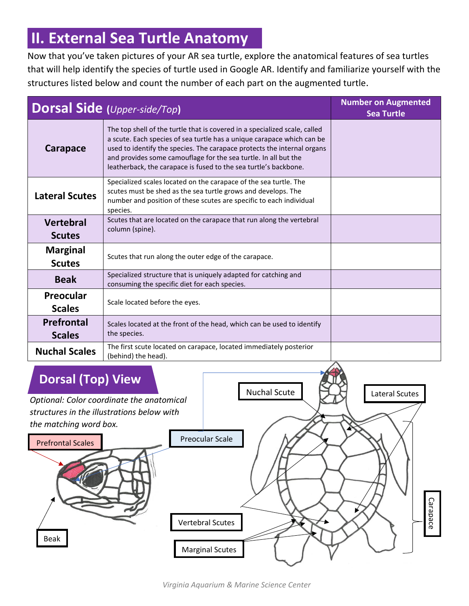# **II. External Sea Turtle Anatomy**

Now that you've taken pictures of your AR sea turtle, explore the anatomical features of sea turtles that will help identify the species of turtle used in Google AR. Identify and familiarize yourself with the structures listed below and count the number of each part on the augmented turtle.

| <b>Dorsal Side (Upper-side/Top)</b> |                                                                                                                                                                                                                                                                                                                                                                        | <b>Number on Augmented</b><br><b>Sea Turtle</b> |
|-------------------------------------|------------------------------------------------------------------------------------------------------------------------------------------------------------------------------------------------------------------------------------------------------------------------------------------------------------------------------------------------------------------------|-------------------------------------------------|
| Carapace                            | The top shell of the turtle that is covered in a specialized scale, called<br>a scute. Each species of sea turtle has a unique carapace which can be<br>used to identify the species. The carapace protects the internal organs<br>and provides some camouflage for the sea turtle. In all but the<br>leatherback, the carapace is fused to the sea turtle's backbone. |                                                 |
| <b>Lateral Scutes</b>               | Specialized scales located on the carapace of the sea turtle. The<br>scutes must be shed as the sea turtle grows and develops. The<br>number and position of these scutes are specific to each individual<br>species.                                                                                                                                                  |                                                 |
| <b>Vertebral</b><br><b>Scutes</b>   | Scutes that are located on the carapace that run along the vertebral<br>column (spine).                                                                                                                                                                                                                                                                                |                                                 |
| <b>Marginal</b><br><b>Scutes</b>    | Scutes that run along the outer edge of the carapace.                                                                                                                                                                                                                                                                                                                  |                                                 |
| <b>Beak</b>                         | Specialized structure that is uniquely adapted for catching and<br>consuming the specific diet for each species.                                                                                                                                                                                                                                                       |                                                 |
| Preocular<br><b>Scales</b>          | Scale located before the eyes.                                                                                                                                                                                                                                                                                                                                         |                                                 |
| <b>Prefrontal</b><br><b>Scales</b>  | Scales located at the front of the head, which can be used to identify<br>the species.                                                                                                                                                                                                                                                                                 |                                                 |
| <b>Nuchal Scales</b>                | The first scute located on carapace, located immediately posterior<br>(behind) the head).                                                                                                                                                                                                                                                                              |                                                 |

### **Dorsal (Top) View**

*Optional: Color coordinate the anatomical structures in the illustrations below with the matching word box.*



Nuchal Scute

Lateral Scutes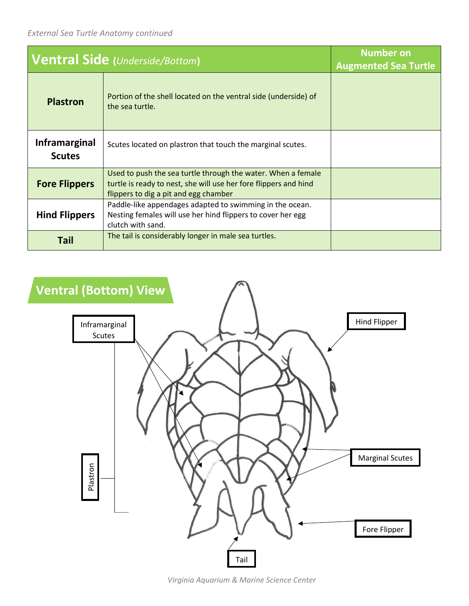| <b>Ventral Side (Underside/Bottom)</b> |                                                                                                                                                                           | <b>Number on</b><br><b>Augmented Sea Turtle</b> |
|----------------------------------------|---------------------------------------------------------------------------------------------------------------------------------------------------------------------------|-------------------------------------------------|
| <b>Plastron</b>                        | Portion of the shell located on the ventral side (underside) of<br>the sea turtle.                                                                                        |                                                 |
| Inframarginal<br><b>Scutes</b>         | Scutes located on plastron that touch the marginal scutes.                                                                                                                |                                                 |
| <b>Fore Flippers</b>                   | Used to push the sea turtle through the water. When a female<br>turtle is ready to nest, she will use her fore flippers and hind<br>flippers to dig a pit and egg chamber |                                                 |
| <b>Hind Flippers</b>                   | Paddle-like appendages adapted to swimming in the ocean.<br>Nesting females will use her hind flippers to cover her egg<br>clutch with sand.                              |                                                 |
| Tail                                   | The tail is considerably longer in male sea turtles.                                                                                                                      |                                                 |



*Virginia Aquarium & Marine Science Center*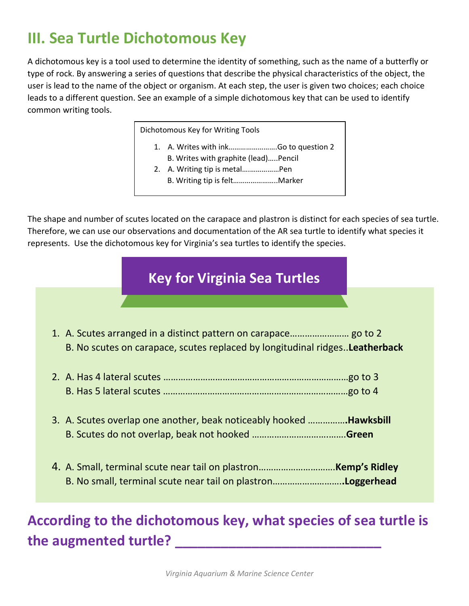# **III. Sea Turtle Dichotomous Key**

A dichotomous key is a tool used to determine the identity of something, such as the name of a butterfly or type of rock. By answering a series of questions that describe the physical characteristics of the object, the user is lead to the name of the object or organism. At each step, the user is given two choices; each choice leads to a different question. See an example of a simple dichotomous key that can be used to identify common writing tools.

Dichotomous Key for Writing Tools

- 1. A. Writes with ink…………………….Go to question 2
- B. Writes with graphite (lead)…..Pencil 2. A. Writing tip is metal….……………Pen
- B. Writing tip is felt…………………..Marker

The shape and number of scutes located on the carapace and plastron is distinct for each species of sea turtle. Therefore, we can use our observations and documentation of the AR sea turtle to identify what species it represents. Use the dichotomous key for Virginia's sea turtles to identify the species.

#### **Key for Virginia Sea Turtles**

1. A. Scutes arranged in a distinct pattern on carapace…………………… go to 2 B. No scutes on carapace, scutes replaced by longitudinal ridges..**Leatherback** 2. A. Has 4 lateral scutes …………………………………………………………………go to 3 B. Has 5 lateral scutes …………………………………………………………………go to 4 3. A. Scutes overlap one another, beak noticeably hooked ……………**.Hawksbill** B. Scutes do not overlap, beak not hooked ………………………….…….**Green** 4. A. Small, terminal scute near tail on plastron………………………….**Kemp's Ridley** B. No small, terminal scute near tail on plastron……………………….**.Loggerhead**

## **According to the dichotomous key, what species of sea turtle is the augmented turtle? \_\_\_\_\_\_\_\_\_\_\_\_\_\_\_\_\_\_\_\_\_\_\_\_\_\_\_**